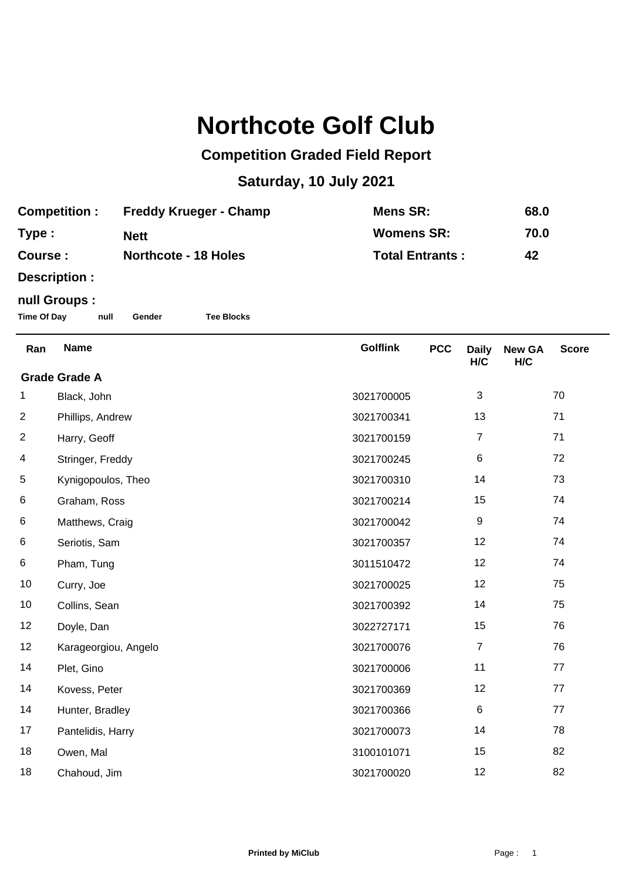## **Northcote Golf Club**

## **Competition Graded Field Report**

## **Saturday, 10 July 2021**

| <b>Competition :</b> | <b>Freddy Krueger - Champ</b> | Mens SR:               | 68.0 |
|----------------------|-------------------------------|------------------------|------|
| Type :               | <b>Nett</b>                   | <b>Womens SR:</b>      | 70.0 |
| <b>Course :</b>      | <b>Northcote - 18 Holes</b>   | <b>Total Entrants:</b> | 42   |

**Description :**

## **null Groups :**

**Time Of Day null Gender Tee Blocks**

| Ran                  | <b>Name</b>          | <b>Golflink</b> | <b>PCC</b> | <b>Daily</b><br>H/C | <b>New GA</b><br>H/C | <b>Score</b> |  |
|----------------------|----------------------|-----------------|------------|---------------------|----------------------|--------------|--|
| <b>Grade Grade A</b> |                      |                 |            |                     |                      |              |  |
| 1                    | Black, John          | 3021700005      |            | 3                   |                      | 70           |  |
| $\overline{c}$       | Phillips, Andrew     | 3021700341      |            | 13                  |                      | 71           |  |
| $\overline{2}$       | Harry, Geoff         | 3021700159      |            | $\overline{7}$      |                      | 71           |  |
| 4                    | Stringer, Freddy     | 3021700245      |            | 6                   |                      | 72           |  |
| 5                    | Kynigopoulos, Theo   | 3021700310      |            | 14                  |                      | 73           |  |
| 6                    | Graham, Ross         | 3021700214      |            | 15                  |                      | 74           |  |
| 6                    | Matthews, Craig      | 3021700042      |            | 9                   |                      | 74           |  |
| 6                    | Seriotis, Sam        | 3021700357      |            | 12                  |                      | 74           |  |
| 6                    | Pham, Tung           | 3011510472      |            | 12                  |                      | 74           |  |
| 10                   | Curry, Joe           | 3021700025      |            | 12                  |                      | 75           |  |
| 10                   | Collins, Sean        | 3021700392      |            | 14                  |                      | 75           |  |
| 12                   | Doyle, Dan           | 3022727171      |            | 15                  |                      | 76           |  |
| 12                   | Karageorgiou, Angelo | 3021700076      |            | $\overline{7}$      |                      | 76           |  |
| 14                   | Plet, Gino           | 3021700006      |            | 11                  |                      | 77           |  |
| 14                   | Kovess, Peter        | 3021700369      |            | 12                  |                      | 77           |  |
| 14                   | Hunter, Bradley      | 3021700366      |            | $\,6\,$             |                      | 77           |  |
| 17                   | Pantelidis, Harry    | 3021700073      |            | 14                  |                      | 78           |  |
| 18                   | Owen, Mal            | 3100101071      |            | 15                  |                      | 82           |  |
| 18                   | Chahoud, Jim         | 3021700020      |            | 12                  |                      | 82           |  |